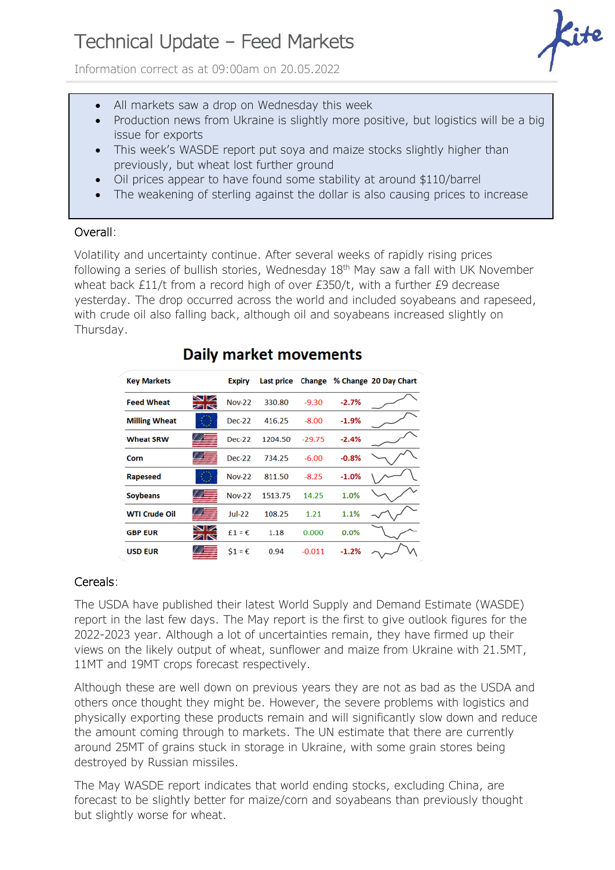# Technical Update – Feed Markets

Information correct as at 09:00am on 20.05.2022



- All markets saw a drop on Wednesday this week
- Production news from Ukraine is slightly more positive, but logistics will be a big issue for exports
- This week's WASDE report put soya and maize stocks slightly higher than previously, but wheat lost further ground
- Oil prices appear to have found some stability at around \$110/barrel
- The weakening of sterling against the dollar is also causing prices to increase

### Overall:

Volatility and uncertainty continue. After several weeks of rapidly rising prices following a series of bullish stories, Wednesday  $18<sup>th</sup>$  May saw a fall with UK November wheat back £11/t from a record high of over £350/t, with a further £9 decrease yesterday. The drop occurred across the world and included soyabeans and rapeseed, with crude oil also falling back, although oil and soyabeans increased slightly on Thursday.

| <b>Key Markets</b>   |                      | <b>Expiry</b>   | Last price | Change   |         | % Change 20 Day Chart |
|----------------------|----------------------|-----------------|------------|----------|---------|-----------------------|
| <b>Feed Wheat</b>    | $\sim$ $\sim$<br>ZK  | <b>Nov-22</b>   | 330.80     | $-9.30$  | $-2.7%$ |                       |
| <b>Milling Wheat</b> |                      | <b>Dec-22</b>   | 416.25     | $-8.00$  | $-1.9%$ |                       |
| <b>Wheat SRW</b>     |                      | $Dec-22$        | 1204.50    | $-29.75$ | $-2.4%$ |                       |
| Corn                 |                      | <b>Dec-22</b>   | 734.25     | $-6.00$  | $-0.8%$ |                       |
| <b>Rapeseed</b>      |                      | <b>Nov-22</b>   | 811.50     | $-8.25$  | $-1.0%$ |                       |
| <b>Soybeans</b>      |                      | <b>Nov-22</b>   | 1513.75    | 14.25    | 1.0%    |                       |
| <b>WTI Crude Oil</b> |                      | $Jul-22$        | 108.25     | 1.21     | 1.1%    |                       |
| <b>GBP EUR</b>       | $\blacksquare$<br>ZK | $f1 = \epsilon$ | 1.18       | 0.000    | 0.0%    |                       |
| <b>USD EUR</b>       | 7 E                  | $51 = \epsilon$ | 0.94       | $-0.011$ | $-1.2%$ |                       |

# **Daily market movements**

## Cereals:

The USDA have published their latest World Supply and Demand Estimate (WASDE) report in the last few days. The May report is the first to give outlook figures for the 2022-2023 year. Although a lot of uncertainties remain, they have firmed up their views on the likely output of wheat, sunflower and maize from Ukraine with 21.5MT, 11MT and 19MT crops forecast respectively.

Although these are well down on previous years they are not as bad as the USDA and others once thought they might be. However, the severe problems with logistics and physically exporting these products remain and will significantly slow down and reduce the amount coming through to markets. The UN estimate that there are currently around 25MT of grains stuck in storage in Ukraine, with some grain stores being destroyed by Russian missiles.

The May WASDE report indicates that world ending stocks, excluding China, are forecast to be slightly better for maize/corn and soyabeans than previously thought but slightly worse for wheat.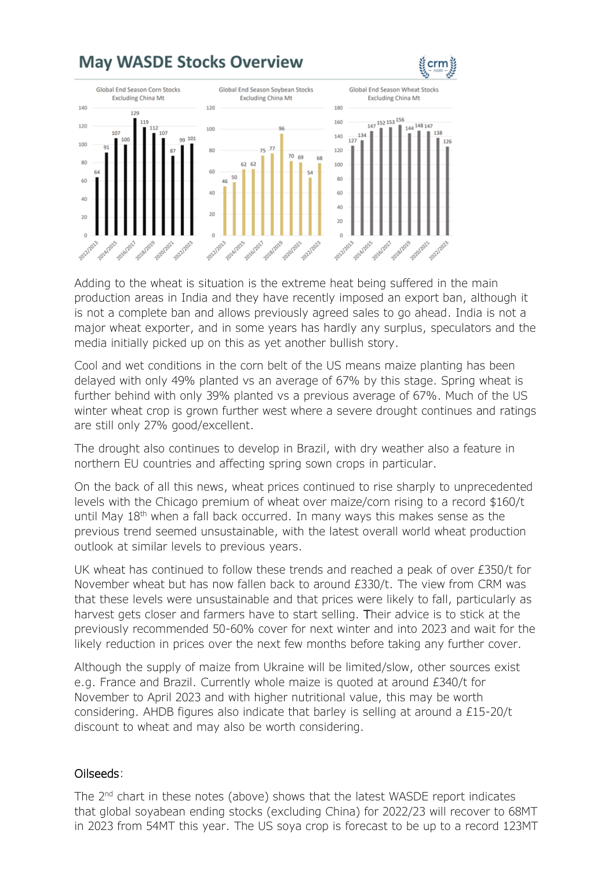

Adding to the wheat is situation is the extreme heat being suffered in the main production areas in India and they have recently imposed an export ban, although it is not a complete ban and allows previously agreed sales to go ahead. India is not a major wheat exporter, and in some years has hardly any surplus, speculators and the media initially picked up on this as yet another bullish story.

Cool and wet conditions in the corn belt of the US means maize planting has been delayed with only 49% planted vs an average of 67% by this stage. Spring wheat is further behind with only 39% planted vs a previous average of 67%. Much of the US winter wheat crop is grown further west where a severe drought continues and ratings are still only 27% good/excellent.

The drought also continues to develop in Brazil, with dry weather also a feature in northern EU countries and affecting spring sown crops in particular.

On the back of all this news, wheat prices continued to rise sharply to unprecedented levels with the Chicago premium of wheat over maize/corn rising to a record \$160/t until May  $18<sup>th</sup>$  when a fall back occurred. In many ways this makes sense as the previous trend seemed unsustainable, with the latest overall world wheat production outlook at similar levels to previous years.

UK wheat has continued to follow these trends and reached a peak of over £350/t for November wheat but has now fallen back to around £330/t. The view from CRM was that these levels were unsustainable and that prices were likely to fall, particularly as harvest gets closer and farmers have to start selling. Their advice is to stick at the previously recommended 50-60% cover for next winter and into 2023 and wait for the likely reduction in prices over the next few months before taking any further cover.

Although the supply of maize from Ukraine will be limited/slow, other sources exist e.g. France and Brazil. Currently whole maize is quoted at around £340/t for November to April 2023 and with higher nutritional value, this may be worth considering. AHDB figures also indicate that barley is selling at around a £15-20/t discount to wheat and may also be worth considering.

#### Oilseeds:

The 2<sup>nd</sup> chart in these notes (above) shows that the latest WASDE report indicates that global soyabean ending stocks (excluding China) for 2022/23 will recover to 68MT in 2023 from 54MT this year. The US soya crop is forecast to be up to a record 123MT